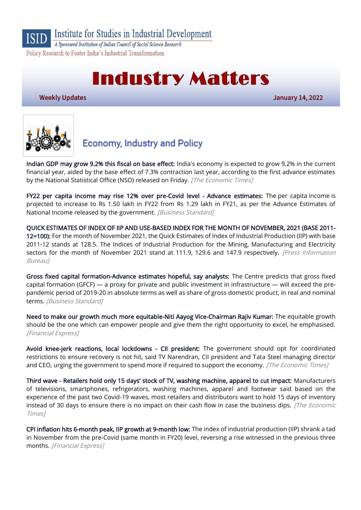

A Sponsored Institution of Indian Council of Social Science Research Policy Research to Foster India's Industrial Transformation

# **Industry Matters**

**Weekly Updates** 

**January 14, 2022** 



## **Economy, Industry and Policy**

[Indian GDP may grow 9.2% this fiscal on base effect:](https://economictimes.indiatimes.com/news/economy/indicators/india-govt-forecasts-year-to-march-economic-growth-of-9-2/articleshow/88758290.cms) India's economy is expected to grow 9.2% in the current financial year, aided by the base effect of 7.3% contraction last year, according to the first advance estimates by the National Statistical Office (NSO) released on Friday. [The Economic Times]

[FY22 per capita income may rise 12% over pre-Covid level - Advance estimates:](https://www.business-standard.com/article/economy-policy/fy22-per-capita-income-may-rise-12-over-pre-covid-level-advance-estimates-122010701102_1.html) The per capita income is projected to increase to Rs 1.50 lakh in FY22 from Rs 1.29 lakh in FY21, as per the Advance Estimates of National Income released by the government. [Business Standard]

[QUICK ESTIMATES OF INDEX OF IIP AND USE-BASED INDEX FOR THE MONTH OF NOVEMBER, 2021 \(BASE 2011-](https://pib.gov.in/PressReleseDetail.aspx?PRID=1789386) [12=100\):](https://pib.gov.in/PressReleseDetail.aspx?PRID=1789386) For the month of November 2021, the Quick Estimates of Index of Industrial Production (IIP) with base 2011-12 stands at 128.5. The Indices of Industrial Production for the Mining, Manufacturing and Electricity sectors for the month of November 2021 stand at 111.9, 129.6 and 147.9 respectively. *[Press Information* Bureau]

[Gross fixed capital formation-Advance estimates hopeful, say analysts:](https://www.business-standard.com/article/economy-policy/gross-fixed-capital-formation-advance-estimates-hopeful-say-analysts-122011000016_1.html) The Centre predicts that gross fixed capital formation (GFCF) — a proxy for private and public investment in infrastructure — will exceed the prepandemic period of 2019-20 in absolute terms as well as share of gross domestic product, in real and nominal terms. [Business Standard]

[Need to make our growth much more equitable-Niti Aayog Vice-Chairman Rajiv Kumar:](https://www.financialexpress.com/economy/need-to-make-our-growth-much-more-equitable-niti-aayog-vice-chairman-rajiv-kumar/2406124/) The equitable growth should be the one which can empower people and give them the right opportunity to excel, he emphasised. [Financial Express]

[Avoid knee-jerk reactions, local lockdowns - CII president:](https://economictimes.indiatimes.com/news/economy/indicators/avoid-knee-jerk-reactions-local-lockdowns-cii-president/articleshow/88745674.cms) The government should opt for coordinated restrictions to ensure recovery is not hit, said TV Narendran, CII president and Tata Steel managing director and CEO, urging the government to spend more if required to support the economy. [The Economic Times]

Third wave - [Retailers hold only 15 days' stock of TV, washing machine, apparel to cut impact:](https://economictimes.indiatimes.com/industry/services/retail/third-wave-retailers-hold-only-15-days-stock-of-tv-washing-machine-apparel-to-cut-impact/articleshow/88821960.cms) Manufacturers of televisions, smartphones, refrigerators, washing machines, apparel and footwear said based on the experience of the past two Covid-19 waves, most retailers and distributors want to hold 15 days of inventory instead of 30 days to ensure there is no impact on their cash flow in case the business dips. [The Economic Times]

[CPI inflation hits 6-month peak, IIP growth at 9-month low:](https://www.financialexpress.com/economy/cpi-inflation-hits-6-month-peak-iip-growth-at-9-month-low/2405225/) The index of industrial production (IIP) shrank a tad in November from the pre-Covid (same month in FY20) level, reversing a rise witnessed in the previous three months. [Financial Express]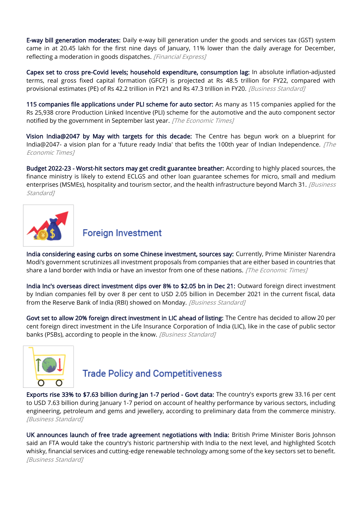[E-way bill generation moderates:](https://www.financialexpress.com/economy/e-way-bill-generation-moderates/2403261/) Daily e-way bill generation under the goods and services tax (GST) system came in at 20.45 lakh for the first nine days of January, 11% lower than the daily average for December, reflecting a moderation in goods dispatches. [Financial Express]

[Capex set to cross pre-Covid levels; household expenditure, consumption lag:](https://www.business-standard.com/article/economy-policy/household-consumption-still-below-pre-covid-levels-advance-estimates-show-122010701046_1.html) In absolute inflation-adjusted terms, real gross fixed capital formation (GFCF) is projected at Rs 48.5 trillion for FY22, compared with provisional estimates (PE) of Rs 42.2 trillion in FY21 and Rs 47.3 trillion in FY20. [Business Standard]

[115 companies file applications under PLI scheme for auto sector:](https://economictimes.indiatimes.com/industry/auto/auto-news/115-companies-file-applications-under-pli-scheme-for-auto-sector/articleshow/88814866.cms) As many as 115 companies applied for the Rs 25,938 crore Production Linked Incentive (PLI) scheme for the automotive and the auto component sector notified by the government in September last year. [The Economic Times]

[Vision India@2047 by May with targets for this decade:](https://economictimes.indiatimes.com/news/economy/policy/vision-india2047-by-may-with-targets-for-this-decade/articleshow/88862602.cms) The Centre has begun work on a blueprint for India@2047- a vision plan for a 'future ready India' that befits the 100th year of Indian Independence.  $[The]$ Economic Times]

[Budget 2022-23 - Worst-hit sectors may get credit guarantee breather:](https://www.business-standard.com/article/economy-policy/budget-2022-23-worst-hit-sectors-may-get-credit-guarantee-breather-122010700043_1.html) According to highly placed sources, the finance ministry is likely to extend ECLGS and other loan guarantee schemes for micro, small and medium enterprises (MSMEs), hospitality and tourism sector, and the health infrastructure beyond March 31. [Business Standard<sub>1</sub>



### **Foreign Investment**

[India considering easing curbs on some Chinese investment, sources say:](https://economictimes.indiatimes.com/news/economy/policy/india-considering-easing-curbs-on-some-chinese-investment-sources-say/articleshow/88829058.cms) Currently, Prime Minister Narendra Modi's government scrutinizes all investment proposals from companies that are either based in countries that share a land border with India or have an investor from one of these nations. [The Economic Times]

[India Inc's overseas direct investment dips over 8% to \\$2.05 bn in Dec 21:](https://www.business-standard.com/article/economy-policy/india-inc-s-overseas-direct-investment-dips-over-8-to-2-05-bn-in-dec-21-122011001338_1.html) Outward foreign direct investment by Indian companies fell by over 8 per cent to USD 2.05 billion in December 2021 in the current fiscal, data from the Reserve Bank of India (RBI) showed on Monday. [Business Standard]

[Govt set to allow 20% foreign direct investment in LIC ahead of listing:](https://www.business-standard.com/article/companies/govt-set-to-allow-20-foreign-direct-investment-in-lic-ahead-of-listing-122011001520_1.html) The Centre has decided to allow 20 per cent foreign direct investment in the Life Insurance Corporation of India (LIC), like in the case of public sector banks (PSBs), according to people in the know. [Business Standard]



### **Trade Policy and Competitiveness**

[Exports rise 33% to \\$7.63 billion during Jan 1-7 period - Govt data:](https://www.business-standard.com/article/economy-policy/exports-rise-33-to-7-63-billion-during-jan-1-7-period-govt-data-122011101042_1.html) The country's exports grew 33.16 per cent to USD 7.63 billion during January 1-7 period on account of healthy performance by various sectors, including engineering, petroleum and gems and jewellery, according to preliminary data from the commerce ministry. [Business Standard]

[UK announces launch of free trade agreement negotiations with India:](https://www.business-standard.com/article/international/uk-announces-launch-of-free-trade-agreement-negotiations-with-india-122011300059_1.html) British Prime Minister Boris Johnson said an FTA would take the country's historic partnership with India to the next level, and highlighted Scotch whisky, financial services and cutting-edge renewable technology among some of the key sectors set to benefit. [Business Standard]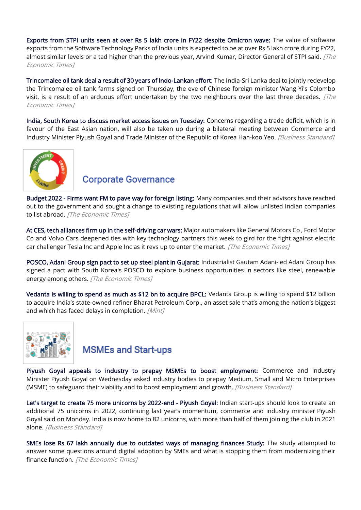[Exports from STPI units seen at over Rs 5 lakh crore in FY22 despite Omicron wave:](https://economictimes.indiatimes.com/news/economy/foreign-trade/exports-from-stpi-units-seen-at-over-rs-5-lakh-crore-in-fy22-despite-omicron-wave/articleshow/88790416.cms) The value of software exports from the Software Technology Parks of India units is expected to be at over Rs 5 lakh crore during FY22, almost similar levels or a tad higher than the previous year, Arvind Kumar, Director General of STPI said. [The Economic Times]

[Trincomalee oil tank deal a result of 30 years of Indo-Lankan effort:](https://economictimes.indiatimes.com/news/economy/foreign-trade/trincomalee-oil-tank-deal-a-result-of-30-years-of-indo-lankan-effort/articleshow/88766921.cms) The India-Sri Lanka deal to jointly redevelop the Trincomalee oil tank farms signed on Thursday, the eve of Chinese foreign minister Wang Yi's Colombo visit, is a result of an arduous effort undertaken by the two neighbours over the last three decades.  $\sqrt{The}$ Economic Times]

[India, South Korea to discuss market access issues on Tuesday:](https://www.business-standard.com/article/economy-policy/india-south-korea-to-discuss-market-access-issues-on-tuesday-122011100050_1.html) Concerns regarding a trade deficit, which is in favour of the East Asian nation, will also be taken up during a bilateral meeting between Commerce and Industry Minister Piyush Goyal and Trade Minister of the Republic of Korea Han-koo Yeo. [Business Standard]



#### **Corporate Governance**

[Budget 2022 - Firms want FM to pave way for foreign listing:](https://economictimes.indiatimes.com/news/economy/policy/budget-2022-firms-want-fm-to-pave-way-for-foreign-listing/articleshow/88745836.cms) Many companies and their advisors have reached out to the government and sought a change to existing regulations that will allow unlisted Indian companies to list abroad. [The Economic Times]

[At CES, tech alliances firm up in the self-driving car wars:](https://economictimes.indiatimes.com/industry/auto/auto-news/at-ces-tech-alliances-firm-up-in-the-self-driving-car-wars/articleshow/88757955.cms) Major automakers like General Motors Co , Ford Motor Co and Volvo Cars deepened ties with key technology partners this week to gird for the fight against electric car challenger Tesla Inc and Apple Inc as it revs up to enter the market. [The Economic Times]

[POSCO, Adani Group sign pact to set up steel plant in Gujarat:](https://economictimes.indiatimes.com/industry/indl-goods/svs/steel/posco-adani-group-sign-pact-to-set-up-steel-plant-in-gujarat/articleshow/88868666.cms) Industrialist Gautam Adani-led Adani Group has signed a pact with South Korea's POSCO to explore business opportunities in sectors like steel, renewable energy among others. [The Economic Times]

[Vedanta is willing to spend as much as \\$12 bn to acquire BPCL:](https://www.livemint.com/companies/news/vedanta-puts-12-billion-price-tag-to-acquire-bpcl-11642070967927.html) Vedanta Group is willing to spend \$12 billion to acquire India's state-owned refiner Bharat Petroleum Corp., an asset sale that's among the nation's biggest and which has faced delays in completion. [Mint]



#### **MSMEs and Start-ups**

[Piyush Goyal appeals to industry to prepay MSMEs to boost employment:](https://www.business-standard.com/article/economy-policy/piyush-goyal-appeals-to-industry-to-prepay-msmes-to-boost-employment-122011300100_1.html) Commerce and Industry Minister Piyush Goyal on Wednesday asked industry bodies to prepay Medium, Small and Micro Enterprises (MSME) to safeguard their viability and to boost employment and growth. [Business Standard]

[Let's target to create 75 more unicorns by 2022-end - Piyush Goyal:](https://www.business-standard.com/article/economy-policy/let-s-target-to-create-75-more-unicorns-by-2022-end-piyush-goyal-122011100016_1.html) Indian start-ups should look to create an additional 75 unicorns in 2022, continuing last year's momentum, commerce and industry minister Piyush Goyal said on Monday. India is now home to 82 unicorns, with more than half of them joining the club in 2021 alone. [Business Standard]

[SMEs lose Rs 67 lakh annually due to outdated ways of managing finances Study:](https://economictimes.indiatimes.com/small-biz/sme-sector/smes-lose-rs-67-lakh-annually-due-to-outdated-ways-of-managing-finances-study/articleshow/88827918.cms) The study attempted to answer some questions around digital adoption by SMEs and what is stopping them from modernizing their finance function. [The Economic Times]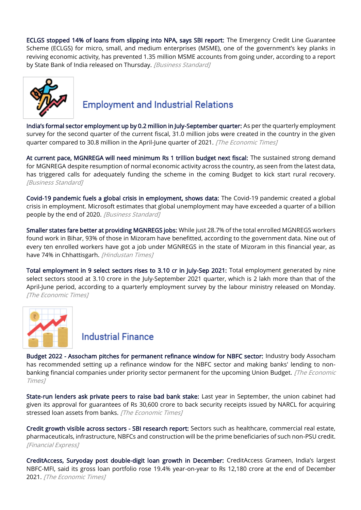[ECLGS stopped 14% of loans from slipping into NPA, says SBI report:](https://www.business-standard.com/article/economy-policy/eclgs-stopped-14-of-loans-from-slipping-into-npa-says-sbi-report-122010700050_1.html) The Emergency Credit Line Guarantee Scheme (ECLGS) for micro, small, and medium enterprises (MSME), one of the government's key planks in reviving economic activity, has prevented 1.35 million MSME accounts from going under, according to a report by State Bank of India released on Thursday. [Business Standard]



## **Employment and Industrial Relations**

[India's formal sector employment up by 0.2 million in July](https://economictimes.indiatimes.com/news/economy/indicators/indias-formal-sector-employment-up-by-0-2-million-in-july-september-quarter/articleshow/88808248.cms)-September quarter: As per the quarterly employment survey for the second quarter of the current fiscal, 31.0 million jobs were created in the country in the given quarter compared to 30.8 million in the April-June quarter of 2021. [The Economic Times]

[At current pace, MGNREGA will need minimum Rs 1 trillion budget next fiscal:](https://www.business-standard.com/article/economy-policy/at-current-pace-mgnrega-will-need-minimum-rs-1-trillion-budget-next-fiscal-122011201452_1.html) The sustained strong demand for MGNREGA despite resumption of normal economic activity across the country, as seen from the latest data, has triggered calls for adequately funding the scheme in the coming Budget to kick start rural recovery. [Business Standard]

[Covid-19 pandemic fuels a global crisis in employment, shows data:](https://www.business-standard.com/article/economy-policy/covid-19-pandemic-fuels-a-global-crisis-in-employment-shows-data-122011000010_1.html) The Covid-19 pandemic created a global crisis in employment. Microsoft estimates that global unemployment may have exceeded a quarter of a billion people by the end of 2020. [Business Standard]

[Smaller states fare better at providing MGNREGS jobs:](https://www.hindustantimes.com/india-news/smaller-states-fare-better-at-providing-mgnregs-jobs-101641580847422-amp.html) While just 28.7% of the total enrolled MGNREGS workers found work in Bihar, 93% of those in Mizoram have benefitted, according to the government data. Nine out of every ten enrolled workers have got a job under MGNREGS in the state of Mizoram in this financial year, as have 74% in Chhattisgarh. [Hindustan Times]

[Total employment in 9 select sectors rises to 3.10 cr in July-Sep 2021:](https://economictimes.indiatimes.com/news/economy/indicators/total-employment-in-9-select-sectors-rises-to-3-10-cr-in-july-sep-2021/articleshow/88805596.cms) Total employment generated by nine select sectors stood at 3.10 crore in the July-September 2021 quarter, which is 2 lakh more than that of the April-June period, according to a quarterly employment survey by the labour ministry released on Monday. [The Economic Times]



#### **Industrial Finance**

[Budget 2022 - Assocham pitches for permanent refinance window for NBFC sector:](https://economictimes.indiatimes.com/industry/banking/finance/budget-2022-assocham-pitches-for-permanent-refinance-window-for-nbfc-sector/articleshow/88788535.cms) Industry body Assocham has recommended setting up a refinance window for the NBFC sector and making banks' lending to nonbanking financial companies under priority sector permanent for the upcoming Union Budget. [The Economic Times]

[State-run lenders ask private peers to raise bad bank stake:](https://economictimes.indiatimes.com/industry/banking/finance/banking/state-run-lenders-ask-private-peers-to-raise-bad-bank-stake/articleshow/88865640.cms) Last year in September, the union cabinet had given its approval for guarantees of Rs 30,600 crore to back security receipts issued by NARCL for acquiring stressed loan assets from banks. [The Economic Times]

[Credit growth visible across sectors - SBI research report:](https://www.financialexpress.com/economy/credit-growth-visible-across-sectors-sbi-research-report/2405138/) Sectors such as healthcare, commercial real estate, pharmaceuticals, infrastructure, NBFCs and construction will be the prime beneficiaries of such non-PSU credit. [Financial Express]

[CreditAccess, Suryoday post double-digit loan growth in December:](https://economictimes.indiatimes.com/industry/banking/finance/creditaccess-grameen-sees-near-20-jump-in-gross-loans/articleshow/88802891.cms) CreditAccess Grameen, India's largest NBFC-MFI, said its gross loan portfolio rose 19.4% year-on-year to Rs 12,180 crore at the end of December 2021. [The Economic Times]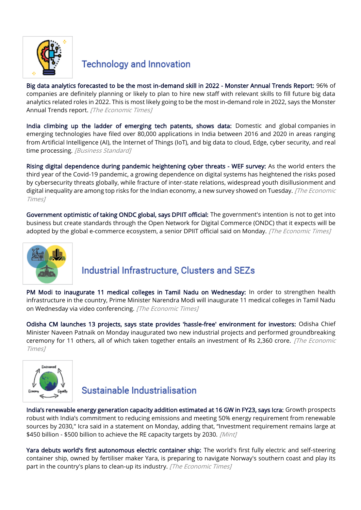

#### **Technology and Innovation**

[Big data analytics forecasted to be the most in-demand skill in 2022 - Monster Annual Trends Report:](https://economictimes.indiatimes.com/jobs/big-data-analytics-forecasted-to-be-the-most-in-demand-skill-in-2022-monster-annual-trends-report/articleshow/88810818.cms) 96% of companies are definitely planning or likely to plan to hire new staff with relevant skills to fill future big data analytics related roles in 2022. This is most likely going to be the most in-demand role in 2022, says the Monster Annual Trends report. [The Economic Times]

[India climbing up the ladder of emerging tech patents, shows data:](https://www.business-standard.com/article/companies/india-climbing-up-the-ladder-of-emerging-tech-patents-shows-data-122010800056_1.html) Domestic and global companies in emerging technologies have filed over 80,000 applications in India between 2016 and 2020 in areas ranging from Artificial Intelligence (AI), the Internet of Things (IoT), and big data to cloud, Edge, cyber security, and real time processing. [Business Standard]

[Rising digital dependence during pandemic heightening cyber threats - WEF survey:](https://economictimes.indiatimes.com/news/india/rising-digital-dependence-during-pandemic-heightening-cyber-threats-wef-survey/articleshow/88832033.cms) As the world enters the third year of the Covid-19 pandemic, a growing dependence on digital systems has heightened the risks posed by cybersecurity threats globally, while fracture of inter-state relations, widespread youth disillusionment and digital inequality are among top risks for the Indian economy, a new survey showed on Tuesday. [The Economic Times]

[Government optimistic of taking ONDC global, says DPIIT official:](https://economictimes.indiatimes.com/news/economy/policy/government-optimistic-of-taking-ondc-global-says-dpiit-official/articleshow/88817194.cms) The government's intention is not to get into business but create standards through the Open Network for Digital Commerce (ONDC) that it expects will be adopted by the global e-commerce ecosystem, a senior DPIIT official said on Monday. [The Economic Times]



### Industrial Infrastructure, Clusters and SEZs

[PM Modi to inaugurate 11 medical colleges in Tamil Nadu on Wednesday:](https://economictimes.indiatimes.com/news/india/pm-modi-to-inaugurate-11-medical-colleges-in-tamil-nadu-on-wednesday/videoshow/88834903.cms) In order to strengthen health infrastructure in the country, Prime Minister Narendra Modi will inaugurate 11 medical colleges in Tamil Nadu on Wednesday via video conferencing. [The Economic Times]

[Odisha CM launches 13 projects, says state provides 'hassle-free' environment for investors:](https://economictimes.indiatimes.com/news/economy/policy/odisha-cm-launches-13-projects-says-state-provides-hassle-free-environment-for-investors/articleshow/88815595.cms) Odisha Chief Minister Naveen Patnaik on Monday inaugurated two new industrial projects and performed groundbreaking ceremony for 11 others, all of which taken together entails an investment of Rs 2,360 crore. [The Economic Times]



# Sustainable Industrialisation

[India's renewable energy generation capacity addition estimated at 16 GW in FY23, says Icra:](https://www.livemint.com/industry/energy/indias-renewable-energy-generation-capacity-addition-in-fy23-estimated-at-16-gw-11641807620654.html) Growth prospects robust with India's commitment to reducing emissions and meeting 50% energy requirement from renewable sources by 2030," Icra said in a statement on Monday, adding that, "Investment requirement remains large at \$450 billion - \$500 billion to achieve the RE capacity targets by 2030. [Mint]

[Yara debuts world's first autonomous electric container ship:](https://economictimes.indiatimes.com/small-biz/security-tech/technology/yara-debuts-worlds-first-autonomous-electric-container-ship/articleshow/87811846.cms) The world's first fully electric and self-steering container ship, owned by fertiliser maker Yara, is preparing to navigate Norway's southern coast and play its part in the country's plans to clean-up its industry. [The Economic Times]